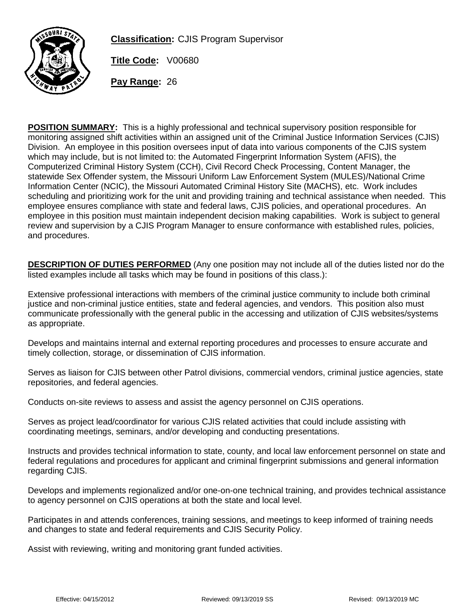

**Classification:** CJIS Program Supervisor

**Title Code:** V00680

**Pay Range:** 26

**POSITION SUMMARY:** This is a highly professional and technical supervisory position responsible for monitoring assigned shift activities within an assigned unit of the Criminal Justice Information Services (CJIS) Division. An employee in this position oversees input of data into various components of the CJIS system which may include, but is not limited to: the Automated Fingerprint Information System (AFIS), the Computerized Criminal History System (CCH), Civil Record Check Processing, Content Manager, the statewide Sex Offender system, the Missouri Uniform Law Enforcement System (MULES)/National Crime Information Center (NCIC), the Missouri Automated Criminal History Site (MACHS), etc. Work includes scheduling and prioritizing work for the unit and providing training and technical assistance when needed. This employee ensures compliance with state and federal laws, CJIS policies, and operational procedures. An employee in this position must maintain independent decision making capabilities. Work is subject to general review and supervision by a CJIS Program Manager to ensure conformance with established rules, policies, and procedures.

**DESCRIPTION OF DUTIES PERFORMED** (Any one position may not include all of the duties listed nor do the listed examples include all tasks which may be found in positions of this class.):

Extensive professional interactions with members of the criminal justice community to include both criminal justice and non-criminal justice entities, state and federal agencies, and vendors. This position also must communicate professionally with the general public in the accessing and utilization of CJIS websites/systems as appropriate.

Develops and maintains internal and external reporting procedures and processes to ensure accurate and timely collection, storage, or dissemination of CJIS information.

Serves as liaison for CJIS between other Patrol divisions, commercial vendors, criminal justice agencies, state repositories, and federal agencies.

Conducts on-site reviews to assess and assist the agency personnel on CJIS operations.

Serves as project lead/coordinator for various CJIS related activities that could include assisting with coordinating meetings, seminars, and/or developing and conducting presentations.

Instructs and provides technical information to state, county, and local law enforcement personnel on state and federal regulations and procedures for applicant and criminal fingerprint submissions and general information regarding CJIS.

Develops and implements regionalized and/or one-on-one technical training, and provides technical assistance to agency personnel on CJIS operations at both the state and local level.

Participates in and attends conferences, training sessions, and meetings to keep informed of training needs and changes to state and federal requirements and CJIS Security Policy.

Assist with reviewing, writing and monitoring grant funded activities.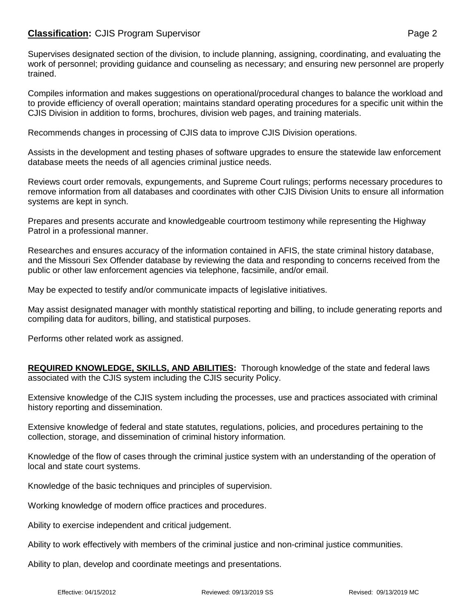## **Classification:** CJIS Program Supervisor **Page 2 Page 2**

Supervises designated section of the division, to include planning, assigning, coordinating, and evaluating the work of personnel; providing guidance and counseling as necessary; and ensuring new personnel are properly trained.

Compiles information and makes suggestions on operational/procedural changes to balance the workload and to provide efficiency of overall operation; maintains standard operating procedures for a specific unit within the CJIS Division in addition to forms, brochures, division web pages, and training materials.

Recommends changes in processing of CJIS data to improve CJIS Division operations.

Assists in the development and testing phases of software upgrades to ensure the statewide law enforcement database meets the needs of all agencies criminal justice needs.

Reviews court order removals, expungements, and Supreme Court rulings; performs necessary procedures to remove information from all databases and coordinates with other CJIS Division Units to ensure all information systems are kept in synch.

Prepares and presents accurate and knowledgeable courtroom testimony while representing the Highway Patrol in a professional manner.

Researches and ensures accuracy of the information contained in AFIS, the state criminal history database, and the Missouri Sex Offender database by reviewing the data and responding to concerns received from the public or other law enforcement agencies via telephone, facsimile, and/or email.

May be expected to testify and/or communicate impacts of legislative initiatives.

May assist designated manager with monthly statistical reporting and billing, to include generating reports and compiling data for auditors, billing, and statistical purposes.

Performs other related work as assigned.

**REQUIRED KNOWLEDGE, SKILLS, AND ABILITIES:** Thorough knowledge of the state and federal laws associated with the CJIS system including the CJIS security Policy.

Extensive knowledge of the CJIS system including the processes, use and practices associated with criminal history reporting and dissemination.

Extensive knowledge of federal and state statutes, regulations, policies, and procedures pertaining to the collection, storage, and dissemination of criminal history information.

Knowledge of the flow of cases through the criminal justice system with an understanding of the operation of local and state court systems.

Knowledge of the basic techniques and principles of supervision.

Working knowledge of modern office practices and procedures.

Ability to exercise independent and critical judgement.

Ability to work effectively with members of the criminal justice and non-criminal justice communities.

Ability to plan, develop and coordinate meetings and presentations.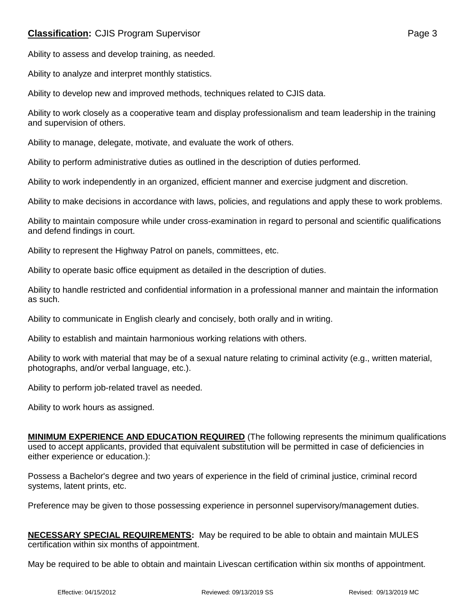## **Classification:** CJIS Program Supervisor **Page 3** Page 3

Ability to assess and develop training, as needed.

Ability to analyze and interpret monthly statistics.

Ability to develop new and improved methods, techniques related to CJIS data.

Ability to work closely as a cooperative team and display professionalism and team leadership in the training and supervision of others.

Ability to manage, delegate, motivate, and evaluate the work of others.

Ability to perform administrative duties as outlined in the description of duties performed.

Ability to work independently in an organized, efficient manner and exercise judgment and discretion.

Ability to make decisions in accordance with laws, policies, and regulations and apply these to work problems.

Ability to maintain composure while under cross-examination in regard to personal and scientific qualifications and defend findings in court.

Ability to represent the Highway Patrol on panels, committees, etc.

Ability to operate basic office equipment as detailed in the description of duties.

Ability to handle restricted and confidential information in a professional manner and maintain the information as such.

Ability to communicate in English clearly and concisely, both orally and in writing.

Ability to establish and maintain harmonious working relations with others.

Ability to work with material that may be of a sexual nature relating to criminal activity (e.g., written material, photographs, and/or verbal language, etc.).

Ability to perform job-related travel as needed.

Ability to work hours as assigned.

**MINIMUM EXPERIENCE AND EDUCATION REQUIRED** (The following represents the minimum qualifications used to accept applicants, provided that equivalent substitution will be permitted in case of deficiencies in either experience or education.):

Possess a Bachelor's degree and two years of experience in the field of criminal justice, criminal record systems, latent prints, etc.

Preference may be given to those possessing experience in personnel supervisory/management duties.

|                                                 | <b>NECESSARY SPECIAL REQUIREMENTS:</b> May be required to be able to obtain and maintain MULES |
|-------------------------------------------------|------------------------------------------------------------------------------------------------|
| certification within six months of appointment. |                                                                                                |

May be required to be able to obtain and maintain Livescan certification within six months of appointment.